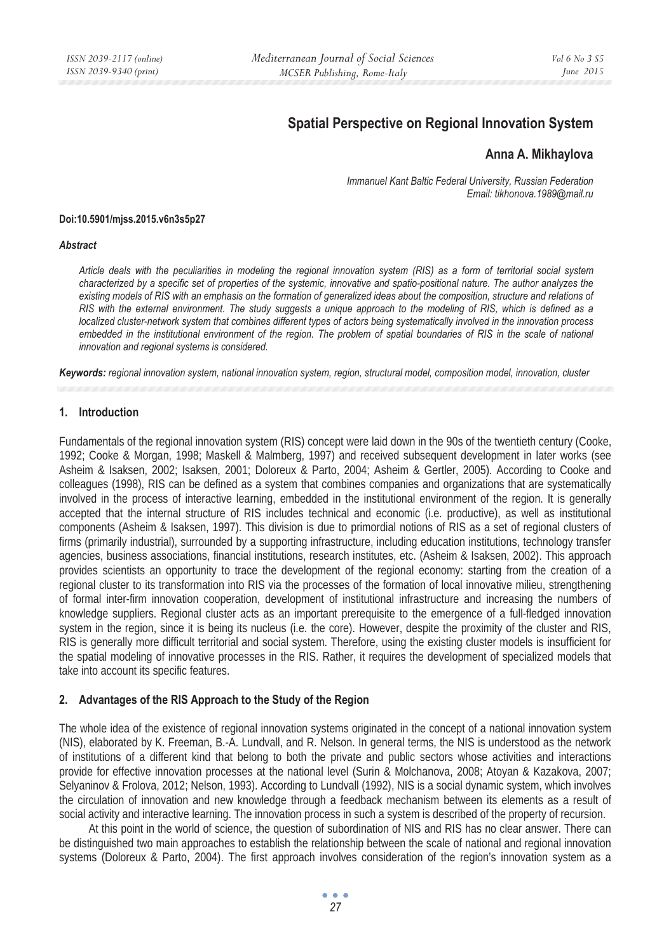# **Spatial Perspective on Regional Innovation System**

# **Anna A. Mikhaylova**

*Immanuel Kant Baltic Federal University, Russian Federation Email: tikhonova.1989@mail.ru* 

#### **Doi:10.5901/mjss.2015.v6n3s5p27**

#### *Abstract*

*Article deals with the peculiarities in modeling the regional innovation system (RIS) as a form of territorial social system characterized by a specific set of properties of the systemic, innovative and spatio-positional nature. The author analyzes the existing models of RIS with an emphasis on the formation of generalized ideas about the composition, structure and relations of RIS with the external environment. The study suggests a unique approach to the modeling of RIS, which is defined as a localized cluster-network system that combines different types of actors being systematically involved in the innovation process embedded in the institutional environment of the region. The problem of spatial boundaries of RIS in the scale of national innovation and regional systems is considered.* 

*Keywords: regional innovation system, national innovation system, region, structural model, composition model, innovation, cluster* 

#### **1. Introduction**

Fundamentals of the regional innovation system (RIS) concept were laid down in the 90s of the twentieth century (Cooke, 1992; Cooke & Morgan, 1998; Maskell & Malmberg, 1997) and received subsequent development in later works (see Asheim & Isaksen, 2002; Isaksen, 2001; Doloreux & Parto, 2004; Asheim & Gertler, 2005). According to Cooke and colleagues (1998), RIS can be defined as a system that combines companies and organizations that are systematically involved in the process of interactive learning, embedded in the institutional environment of the region. It is generally accepted that the internal structure of RIS includes technical and economic (i.e. productive), as well as institutional components (Asheim & Isaksen, 1997). This division is due to primordial notions of RIS as a set of regional clusters of firms (primarily industrial), surrounded by a supporting infrastructure, including education institutions, technology transfer agencies, business associations, financial institutions, research institutes, etc. (Asheim & Isaksen, 2002). This approach provides scientists an opportunity to trace the development of the regional economy: starting from the creation of a regional cluster to its transformation into RIS via the processes of the formation of local innovative milieu, strengthening of formal inter-firm innovation cooperation, development of institutional infrastructure and increasing the numbers of knowledge suppliers. Regional cluster acts as an important prerequisite to the emergence of a full-fledged innovation system in the region, since it is being its nucleus (i.e. the core). However, despite the proximity of the cluster and RIS, RIS is generally more difficult territorial and social system. Therefore, using the existing cluster models is insufficient for the spatial modeling of innovative processes in the RIS. Rather, it requires the development of specialized models that take into account its specific features.

## **2. Advantages of the RIS Approach to the Study of the Region**

The whole idea of the existence of regional innovation systems originated in the concept of a national innovation system (NIS), elaborated by K. Freeman, B.-A. Lundvall, and R. Nelson. In general terms, the NIS is understood as the network of institutions of a different kind that belong to both the private and public sectors whose activities and interactions provide for effective innovation processes at the national level (Surin & Molchanova, 2008; Atoyan & Kazakova, 2007; Selyaninov & Frolova, 2012; Nelson, 1993). According to Lundvall (1992), NIS is a social dynamic system, which involves the circulation of innovation and new knowledge through a feedback mechanism between its elements as a result of social activity and interactive learning. The innovation process in such a system is described of the property of recursion.

At this point in the world of science, the question of subordination of NIS and RIS has no clear answer. There can be distinguished two main approaches to establish the relationship between the scale of national and regional innovation systems (Doloreux & Parto, 2004). The first approach involves consideration of the region's innovation system as a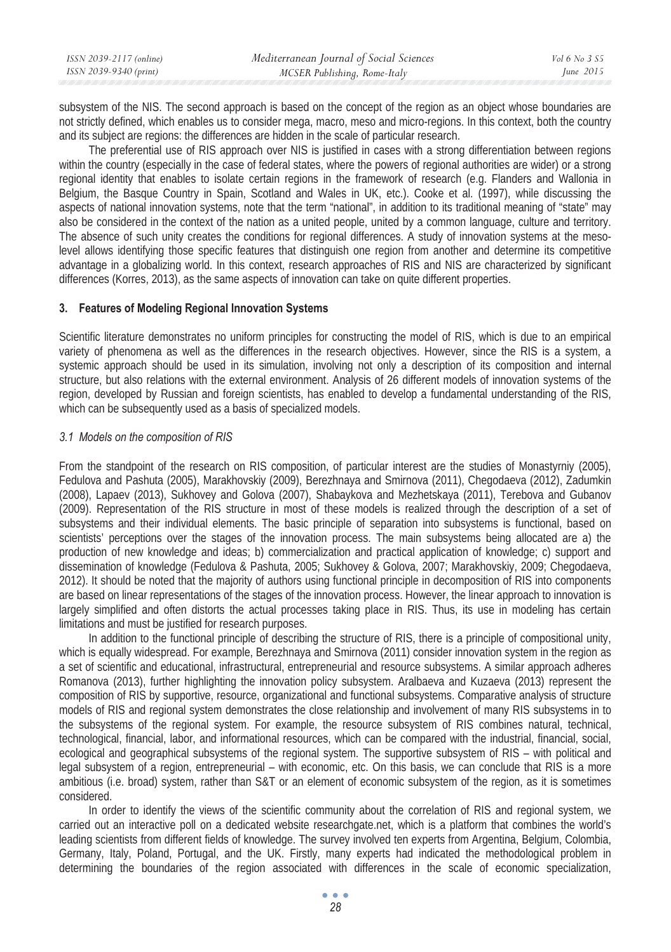| ISSN 2039-2117 (online) | Mediterranean Journal of Social Sciences | Vol 6 No. 3 S5 |
|-------------------------|------------------------------------------|----------------|
| ISSN 2039-9340 (print)  | MCSER Publishing, Rome-Italy             | June $2015$    |
|                         |                                          |                |

subsystem of the NIS. The second approach is based on the concept of the region as an object whose boundaries are not strictly defined, which enables us to consider mega, macro, meso and micro-regions. In this context, both the country and its subject are regions: the differences are hidden in the scale of particular research.

The preferential use of RIS approach over NIS is justified in cases with a strong differentiation between regions within the country (especially in the case of federal states, where the powers of regional authorities are wider) or a strong regional identity that enables to isolate certain regions in the framework of research (e.g. Flanders and Wallonia in Belgium, the Basque Country in Spain, Scotland and Wales in UK, etc.). Cooke et al. (1997), while discussing the aspects of national innovation systems, note that the term "national", in addition to its traditional meaning of "state" may also be considered in the context of the nation as a united people, united by a common language, culture and territory. The absence of such unity creates the conditions for regional differences. A study of innovation systems at the mesolevel allows identifying those specific features that distinguish one region from another and determine its competitive advantage in a globalizing world. In this context, research approaches of RIS and NIS are characterized by significant differences (Korres, 2013), as the same aspects of innovation can take on quite different properties.

#### **3. Features of Modeling Regional Innovation Systems**

Scientific literature demonstrates no uniform principles for constructing the model of RIS, which is due to an empirical variety of phenomena as well as the differences in the research objectives. However, since the RIS is a system, a systemic approach should be used in its simulation, involving not only a description of its composition and internal structure, but also relations with the external environment. Analysis of 26 different models of innovation systems of the region, developed by Russian and foreign scientists, has enabled to develop a fundamental understanding of the RIS, which can be subsequently used as a basis of specialized models.

#### *3.1 Models on the composition of RIS*

From the standpoint of the research on RIS composition, of particular interest are the studies of Monastyrniy (2005), Fedulova and Pashuta (2005), Marakhovskiy (2009), Berezhnaya and Smirnova (2011), Chegodaeva (2012), Zadumkin (2008), Lapaev (2013), Sukhovey and Golova (2007), Shabaykova and Mezhetskaya (2011), Terebova and Gubanov (2009). Representation of the RIS structure in most of these models is realized through the description of a set of subsystems and their individual elements. The basic principle of separation into subsystems is functional, based on scientists' perceptions over the stages of the innovation process. The main subsystems being allocated are a) the production of new knowledge and ideas; b) commercialization and practical application of knowledge; c) support and dissemination of knowledge (Fedulova & Pashuta, 2005; Sukhovey & Golova, 2007; Marakhovskiy, 2009; Chegodaeva, 2012). It should be noted that the majority of authors using functional principle in decomposition of RIS into components are based on linear representations of the stages of the innovation process. However, the linear approach to innovation is largely simplified and often distorts the actual processes taking place in RIS. Thus, its use in modeling has certain limitations and must be justified for research purposes.

In addition to the functional principle of describing the structure of RIS, there is a principle of compositional unity, which is equally widespread. For example, Berezhnaya and Smirnova (2011) consider innovation system in the region as a set of scientific and educational, infrastructural, entrepreneurial and resource subsystems. A similar approach adheres Romanova (2013), further highlighting the innovation policy subsystem. Aralbaeva and Kuzaeva (2013) represent the composition of RIS by supportive, resource, organizational and functional subsystems. Comparative analysis of structure models of RIS and regional system demonstrates the close relationship and involvement of many RIS subsystems in to the subsystems of the regional system. For example, the resource subsystem of RIS combines natural, technical, technological, financial, labor, and informational resources, which can be compared with the industrial, financial, social, ecological and geographical subsystems of the regional system. The supportive subsystem of RIS – with political and legal subsystem of a region, entrepreneurial – with economic, etc. On this basis, we can conclude that RIS is a more ambitious (i.e. broad) system, rather than S&T or an element of economic subsystem of the region, as it is sometimes considered.

In order to identify the views of the scientific community about the correlation of RIS and regional system, we carried out an interactive poll on a dedicated website researchgate.net, which is a platform that combines the world's leading scientists from different fields of knowledge. The survey involved ten experts from Argentina, Belgium, Colombia, Germany, Italy, Poland, Portugal, and the UK. Firstly, many experts had indicated the methodological problem in determining the boundaries of the region associated with differences in the scale of economic specialization,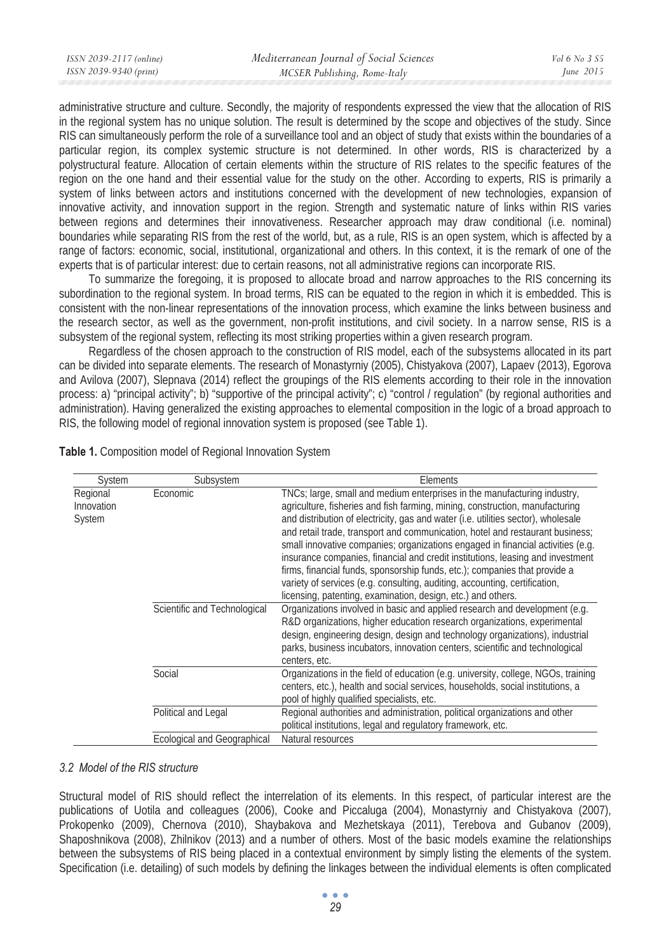| ISSN 2039-2117 (online) | Mediterranean Journal of Social Sciences | Vol 6 No 3 S5 |
|-------------------------|------------------------------------------|---------------|
| ISSN 2039-9340 (print)  | MCSER Publishing, Rome-Italy             | June $2015$   |
|                         |                                          |               |

administrative structure and culture. Secondly, the majority of respondents expressed the view that the allocation of RIS in the regional system has no unique solution. The result is determined by the scope and objectives of the study. Since RIS can simultaneously perform the role of a surveillance tool and an object of study that exists within the boundaries of a particular region, its complex systemic structure is not determined. In other words, RIS is characterized by a polystructural feature. Allocation of certain elements within the structure of RIS relates to the specific features of the region on the one hand and their essential value for the study on the other. According to experts, RIS is primarily a system of links between actors and institutions concerned with the development of new technologies, expansion of innovative activity, and innovation support in the region. Strength and systematic nature of links within RIS varies between regions and determines their innovativeness. Researcher approach may draw conditional (i.e. nominal) boundaries while separating RIS from the rest of the world, but, as a rule, RIS is an open system, which is affected by a range of factors: economic, social, institutional, organizational and others. In this context, it is the remark of one of the experts that is of particular interest: due to certain reasons, not all administrative regions can incorporate RIS.

To summarize the foregoing, it is proposed to allocate broad and narrow approaches to the RIS concerning its subordination to the regional system. In broad terms, RIS can be equated to the region in which it is embedded. This is consistent with the non-linear representations of the innovation process, which examine the links between business and the research sector, as well as the government, non-profit institutions, and civil society. In a narrow sense, RIS is a subsystem of the regional system, reflecting its most striking properties within a given research program.

Regardless of the chosen approach to the construction of RIS model, each of the subsystems allocated in its part can be divided into separate elements. The research of Monastyrniy (2005), Chistyakova (2007), Lapaev (2013), Egorova and Avilova (2007), Slepnava (2014) reflect the groupings of the RIS elements according to their role in the innovation process: a) "principal activity"; b) "supportive of the principal activity"; c) "control / regulation" (by regional authorities and administration). Having generalized the existing approaches to elemental composition in the logic of a broad approach to RIS, the following model of regional innovation system is proposed (see Table 1).

| System                           | Subsystem                    | Elements                                                                                                                                                                                                                                                                                                                                                                                                                                                                                                                                                                                                                                                                                                                        |
|----------------------------------|------------------------------|---------------------------------------------------------------------------------------------------------------------------------------------------------------------------------------------------------------------------------------------------------------------------------------------------------------------------------------------------------------------------------------------------------------------------------------------------------------------------------------------------------------------------------------------------------------------------------------------------------------------------------------------------------------------------------------------------------------------------------|
| Regional<br>Innovation<br>System | Economic                     | TNCs; large, small and medium enterprises in the manufacturing industry,<br>agriculture, fisheries and fish farming, mining, construction, manufacturing<br>and distribution of electricity, gas and water (i.e. utilities sector), wholesale<br>and retail trade, transport and communication, hotel and restaurant business;<br>small innovative companies; organizations engaged in financial activities (e.g.<br>insurance companies, financial and credit institutions, leasing and investment<br>firms, financial funds, sponsorship funds, etc.); companies that provide a<br>variety of services (e.g. consulting, auditing, accounting, certification,<br>licensing, patenting, examination, design, etc.) and others. |
|                                  | Scientific and Technological | Organizations involved in basic and applied research and development (e.g.<br>R&D organizations, higher education research organizations, experimental<br>design, engineering design, design and technology organizations), industrial<br>parks, business incubators, innovation centers, scientific and technological<br>centers, etc.                                                                                                                                                                                                                                                                                                                                                                                         |
|                                  | Social                       | Organizations in the field of education (e.g. university, college, NGOs, training<br>centers, etc.), health and social services, households, social institutions, a<br>pool of highly qualified specialists, etc.                                                                                                                                                                                                                                                                                                                                                                                                                                                                                                               |
|                                  | Political and Legal          | Regional authorities and administration, political organizations and other<br>political institutions, legal and regulatory framework, etc.                                                                                                                                                                                                                                                                                                                                                                                                                                                                                                                                                                                      |
|                                  | Ecological and Geographical  | Natural resources                                                                                                                                                                                                                                                                                                                                                                                                                                                                                                                                                                                                                                                                                                               |

**Table 1.** Composition model of Regional Innovation System

### *3.2 Model of the RIS structure*

Structural model of RIS should reflect the interrelation of its elements. In this respect, of particular interest are the publications of Uotila and colleagues (2006), Cooke and Piccaluga (2004), Monastyrniy and Chistyakova (2007), Prokopenko (2009), Chernova (2010), Shaybakova and Mezhetskaya (2011), Terebova and Gubanov (2009), Shaposhnikova (2008), Zhilnikov (2013) and a number of others. Most of the basic models examine the relationships between the subsystems of RIS being placed in a contextual environment by simply listing the elements of the system. Specification (i.e. detailing) of such models by defining the linkages between the individual elements is often complicated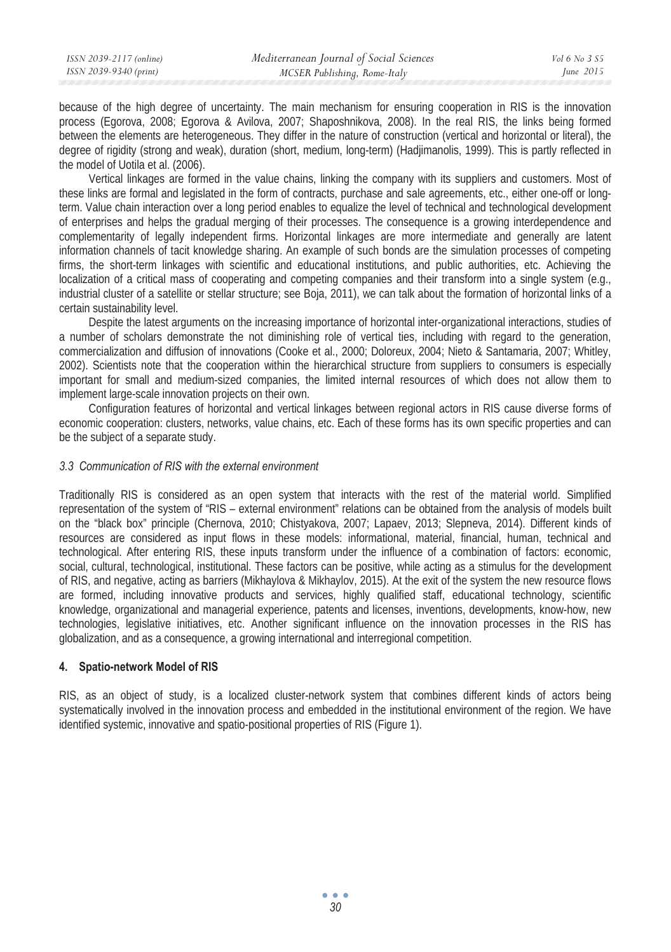because of the high degree of uncertainty. The main mechanism for ensuring cooperation in RIS is the innovation process (Egorova, 2008; Egorova & Avilova, 2007; Shaposhnikova, 2008). In the real RIS, the links being formed between the elements are heterogeneous. They differ in the nature of construction (vertical and horizontal or literal), the degree of rigidity (strong and weak), duration (short, medium, long-term) (Hadjimanolis, 1999). This is partly reflected in the model of Uotila et al. (2006).

Vertical linkages are formed in the value chains, linking the company with its suppliers and customers. Most of these links are formal and legislated in the form of contracts, purchase and sale agreements, etc., either one-off or longterm. Value chain interaction over a long period enables to equalize the level of technical and technological development of enterprises and helps the gradual merging of their processes. The consequence is a growing interdependence and complementarity of legally independent firms. Horizontal linkages are more intermediate and generally are latent information channels of tacit knowledge sharing. An example of such bonds are the simulation processes of competing firms, the short-term linkages with scientific and educational institutions, and public authorities, etc. Achieving the localization of a critical mass of cooperating and competing companies and their transform into a single system (e.g., industrial cluster of a satellite or stellar structure; see Boja, 2011), we can talk about the formation of horizontal links of a certain sustainability level.

Despite the latest arguments on the increasing importance of horizontal inter-organizational interactions, studies of a number of scholars demonstrate the not diminishing role of vertical ties, including with regard to the generation, commercialization and diffusion of innovations (Cooke et al., 2000; Doloreux, 2004; Nieto & Santamaria, 2007; Whitley, 2002). Scientists note that the cooperation within the hierarchical structure from suppliers to consumers is especially important for small and medium-sized companies, the limited internal resources of which does not allow them to implement large-scale innovation projects on their own.

Configuration features of horizontal and vertical linkages between regional actors in RIS cause diverse forms of economic cooperation: clusters, networks, value chains, etc. Each of these forms has its own specific properties and can be the subject of a separate study.

#### *3.3 Communication of RIS with the external environment*

Traditionally RIS is considered as an open system that interacts with the rest of the material world. Simplified representation of the system of "RIS – external environment" relations can be obtained from the analysis of models built on the "black box" principle (Chernova, 2010; Chistyakova, 2007; Lapaev, 2013; Slepneva, 2014). Different kinds of resources are considered as input flows in these models: informational, material, financial, human, technical and technological. After entering RIS, these inputs transform under the influence of a combination of factors: economic, social, cultural, technological, institutional. These factors can be positive, while acting as a stimulus for the development of RIS, and negative, acting as barriers (Mikhaylova & Mikhaylov, 2015). At the exit of the system the new resource flows are formed, including innovative products and services, highly qualified staff, educational technology, scientific knowledge, organizational and managerial experience, patents and licenses, inventions, developments, know-how, new technologies, legislative initiatives, etc. Another significant influence on the innovation processes in the RIS has globalization, and as a consequence, a growing international and interregional competition.

### **4. Spatio-network Model of RIS**

RIS, as an object of study, is a localized cluster-network system that combines different kinds of actors being systematically involved in the innovation process and embedded in the institutional environment of the region. We have identified systemic, innovative and spatio-positional properties of RIS (Figure 1).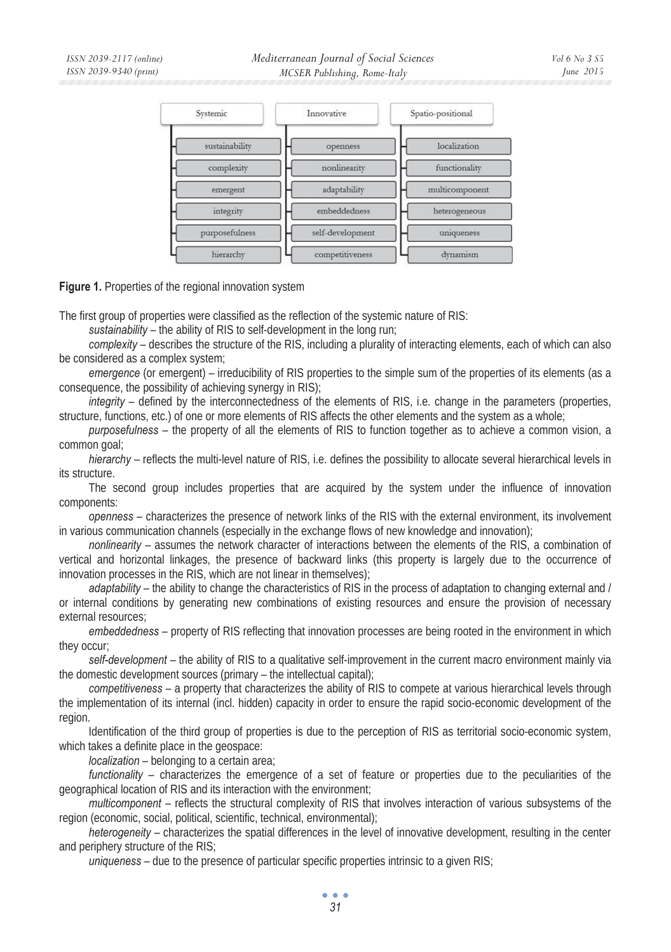

**Figure 1.** Properties of the regional innovation system

The first group of properties were classified as the reflection of the systemic nature of RIS:

*sustainability* – the ability of RIS to self-development in the long run;

*complexity* – describes the structure of the RIS, including a plurality of interacting elements, each of which can also be considered as a complex system;

*emergence* (or emergent) – irreducibility of RIS properties to the simple sum of the properties of its elements (as a consequence, the possibility of achieving synergy in RIS);

*integrity* – defined by the interconnectedness of the elements of RIS, i.e. change in the parameters (properties, structure, functions, etc.) of one or more elements of RIS affects the other elements and the system as a whole;

*purposefulness* – the property of all the elements of RIS to function together as to achieve a common vision, a common goal;

*hierarchy* – reflects the multi-level nature of RIS, i.e. defines the possibility to allocate several hierarchical levels in its structure.

The second group includes properties that are acquired by the system under the influence of innovation components:

*openness* – characterizes the presence of network links of the RIS with the external environment, its involvement in various communication channels (especially in the exchange flows of new knowledge and innovation);

*nonlinearity* – assumes the network character of interactions between the elements of the RIS, a combination of vertical and horizontal linkages, the presence of backward links (this property is largely due to the occurrence of innovation processes in the RIS, which are not linear in themselves);

*adaptability* – the ability to change the characteristics of RIS in the process of adaptation to changing external and / or internal conditions by generating new combinations of existing resources and ensure the provision of necessary external resources;

*embeddedness* – property of RIS reflecting that innovation processes are being rooted in the environment in which they occur;

*self-development* – the ability of RIS to a qualitative self-improvement in the current macro environment mainly via the domestic development sources (primary – the intellectual capital);

*competitiveness* – a property that characterizes the ability of RIS to compete at various hierarchical levels through the implementation of its internal (incl. hidden) capacity in order to ensure the rapid socio-economic development of the region.

Identification of the third group of properties is due to the perception of RIS as territorial socio-economic system, which takes a definite place in the geospace:

*localization* – belonging to a certain area;

*functionality* – characterizes the emergence of a set of feature or properties due to the peculiarities of the geographical location of RIS and its interaction with the environment;

*multicomponent* – reflects the structural complexity of RIS that involves interaction of various subsystems of the region (economic, social, political, scientific, technical, environmental);

*heterogeneity* – characterizes the spatial differences in the level of innovative development, resulting in the center and periphery structure of the RIS;

*uniqueness* – due to the presence of particular specific properties intrinsic to a given RIS;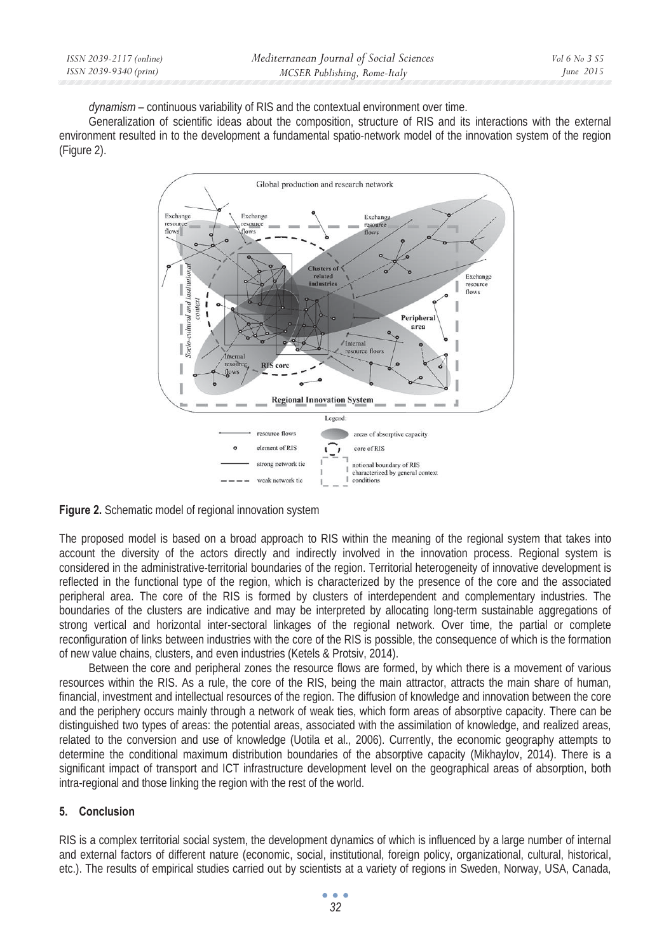*dynamism* – continuous variability of RIS and the contextual environment over time.

Generalization of scientific ideas about the composition, structure of RIS and its interactions with the external environment resulted in to the development a fundamental spatio-network model of the innovation system of the region (Figure 2).



**Figure 2.** Schematic model of regional innovation system

The proposed model is based on a broad approach to RIS within the meaning of the regional system that takes into account the diversity of the actors directly and indirectly involved in the innovation process. Regional system is considered in the administrative-territorial boundaries of the region. Territorial heterogeneity of innovative development is reflected in the functional type of the region, which is characterized by the presence of the core and the associated peripheral area. The core of the RIS is formed by clusters of interdependent and complementary industries. The boundaries of the clusters are indicative and may be interpreted by allocating long-term sustainable aggregations of strong vertical and horizontal inter-sectoral linkages of the regional network. Over time, the partial or complete reconfiguration of links between industries with the core of the RIS is possible, the consequence of which is the formation of new value chains, clusters, and even industries (Ketels & Protsiv, 2014).

Between the core and peripheral zones the resource flows are formed, by which there is a movement of various resources within the RIS. As a rule, the core of the RIS, being the main attractor, attracts the main share of human, financial, investment and intellectual resources of the region. The diffusion of knowledge and innovation between the core and the periphery occurs mainly through a network of weak ties, which form areas of absorptive capacity. There can be distinguished two types of areas: the potential areas, associated with the assimilation of knowledge, and realized areas, related to the conversion and use of knowledge (Uotila et al., 2006). Currently, the economic geography attempts to determine the conditional maximum distribution boundaries of the absorptive capacity (Mikhaylov, 2014). There is a significant impact of transport and ICT infrastructure development level on the geographical areas of absorption, both intra-regional and those linking the region with the rest of the world.

## **5. Conclusion**

RIS is a complex territorial social system, the development dynamics of which is influenced by a large number of internal and external factors of different nature (economic, social, institutional, foreign policy, organizational, cultural, historical, etc.). The results of empirical studies carried out by scientists at a variety of regions in Sweden, Norway, USA, Canada,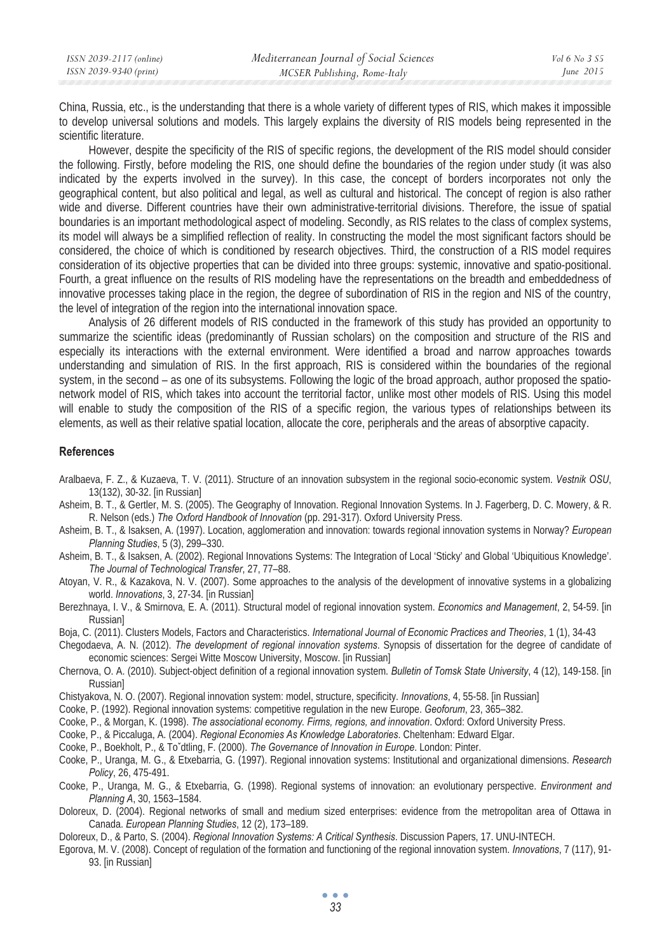| ISSN 2039-2117 (online) | Mediterranean Journal of Social Sciences | <i>Vol</i> 6 No 3 S5 |
|-------------------------|------------------------------------------|----------------------|
| ISSN 2039-9340 (print)  | MCSER Publishing, Rome-Italy             | June $2015$          |

China, Russia, etc., is the understanding that there is a whole variety of different types of RIS, which makes it impossible to develop universal solutions and models. This largely explains the diversity of RIS models being represented in the scientific literature.

However, despite the specificity of the RIS of specific regions, the development of the RIS model should consider the following. Firstly, before modeling the RIS, one should define the boundaries of the region under study (it was also indicated by the experts involved in the survey). In this case, the concept of borders incorporates not only the geographical content, but also political and legal, as well as cultural and historical. The concept of region is also rather wide and diverse. Different countries have their own administrative-territorial divisions. Therefore, the issue of spatial boundaries is an important methodological aspect of modeling. Secondly, as RIS relates to the class of complex systems, its model will always be a simplified reflection of reality. In constructing the model the most significant factors should be considered, the choice of which is conditioned by research objectives. Third, the construction of a RIS model requires consideration of its objective properties that can be divided into three groups: systemic, innovative and spatio-positional. Fourth, a great influence on the results of RIS modeling have the representations on the breadth and embeddedness of innovative processes taking place in the region, the degree of subordination of RIS in the region and NIS of the country, the level of integration of the region into the international innovation space.

Analysis of 26 different models of RIS conducted in the framework of this study has provided an opportunity to summarize the scientific ideas (predominantly of Russian scholars) on the composition and structure of the RIS and especially its interactions with the external environment. Were identified a broad and narrow approaches towards understanding and simulation of RIS. In the first approach, RIS is considered within the boundaries of the regional system, in the second – as one of its subsystems. Following the logic of the broad approach, author proposed the spationetwork model of RIS, which takes into account the territorial factor, unlike most other models of RIS. Using this model will enable to study the composition of the RIS of a specific region, the various types of relationships between its elements, as well as their relative spatial location, allocate the core, peripherals and the areas of absorptive capacity.

#### **References**

- Aralbaeva, F. Z., & Kuzaeva, T. V. (2011). Structure of an innovation subsystem in the regional socio-economic system. *Vestnik OSU*, 13(132), 30-32. [in Russian]
- Asheim, B. T., & Gertler, M. S. (2005). The Geography of Innovation. Regional Innovation Systems. In J. Fagerberg, D. C. Mowery, & R. R. Nelson (eds.) *The Oxford Handbook of Innovation* (pp. 291-317). Oxford University Press.
- Asheim, B. T., & Isaksen, A. (1997). Location, agglomeration and innovation: towards regional innovation systems in Norway? *European Planning Studies*, 5 (3), 299–330.
- Asheim, B. T., & Isaksen, A. (2002). Regional Innovations Systems: The Integration of Local 'Sticky' and Global 'Ubiquitious Knowledge'. *The Journal of Technological Transfer*, 27, 77–88.
- Atoyan, V. R., & Kazakova, N. V. (2007). Some approaches to the analysis of the development of innovative systems in a globalizing world. *Innovations*, 3, 27-34. [in Russian]
- Berezhnaya, I. V., & Smirnova, E. A. (2011). Structural model of regional innovation system. *Economics and Management*, 2, 54-59. [in **Russianl**
- Boja, C. (2011). Clusters Models, Factors and Characteristics. *International Journal of Economic Practices and Theories*, 1 (1), 34-43
- Chegodaeva, A. N. (2012). *The development of regional innovation systems*. Synopsis of dissertation for the degree of candidate of
- economic sciences: Sergei Witte Moscow University, Moscow. [in Russian] Chernova, O. A. (2010). Subject-object definition of a regional innovation system. *Bulletin of Tomsk State University*, 4 (12), 149-158. [in Russian]
- Chistyakova, N. O. (2007). Regional innovation system: model, structure, specificity. *Innovations*, 4, 55-58. [in Russian]
- Cooke, P. (1992). Regional innovation systems: competitive regulation in the new Europe. *Geoforum*, 23, 365–382.
- Cooke, P., & Morgan, K. (1998). *The associational economy. Firms, regions, and innovation*. Oxford: Oxford University Press.
- Cooke, P., & Piccaluga, A. (2004). *Regional Economies As Knowledge Laboratories*. Cheltenham: Edward Elgar.
- Cooke, P., Boekholt, P., & To'dtling, F. (2000). *The Governance of Innovation in Europe*. London: Pinter.
- Cooke, P., Uranga, M. G., & Etxebarria, G. (1997). Regional innovation systems: Institutional and organizational dimensions. *Research Policy*, 26, 475-491.
- Cooke, P., Uranga, M. G., & Etxebarria, G. (1998). Regional systems of innovation: an evolutionary perspective. *Environment and Planning A*, 30, 1563–1584.
- Doloreux, D. (2004). Regional networks of small and medium sized enterprises: evidence from the metropolitan area of Ottawa in Canada. *European Planning Studies*, 12 (2), 173–189.
- Doloreux, D., & Parto, S. (2004). *Regional Innovation Systems: A Critical Synthesis*. Discussion Papers, 17. UNU-INTECH.
- Egorova, M. V. (2008). Concept of regulation of the formation and functioning of the regional innovation system. *Innovations*, 7 (117), 91- 93. [in Russian]

```
33
```